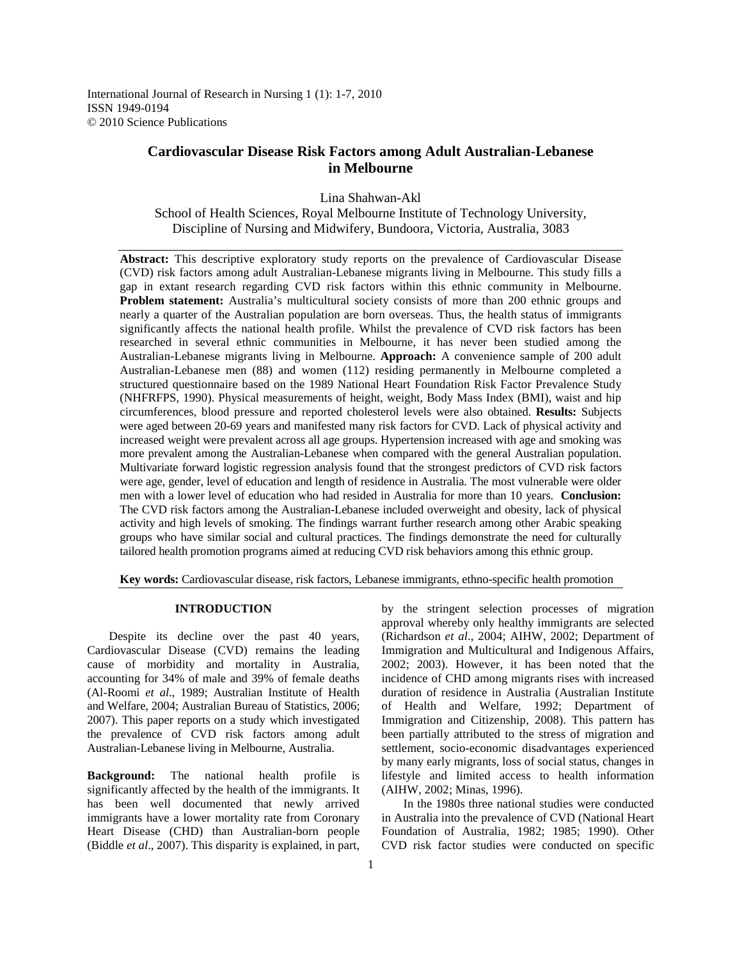International Journal of Research in Nursing 1 (1): 1-7, 2010 ISSN 1949-0194 © 2010 Science Publications

# **Cardiovascular Disease Risk Factors among Adult Australian-Lebanese in Melbourne**

Lina Shahwan-Akl

School of Health Sciences, Royal Melbourne Institute of Technology University, Discipline of Nursing and Midwifery, Bundoora, Victoria, Australia, 3083

**Abstract:** This descriptive exploratory study reports on the prevalence of Cardiovascular Disease (CVD) risk factors among adult Australian-Lebanese migrants living in Melbourne. This study fills a gap in extant research regarding CVD risk factors within this ethnic community in Melbourne. **Problem statement:** Australia's multicultural society consists of more than 200 ethnic groups and nearly a quarter of the Australian population are born overseas. Thus, the health status of immigrants significantly affects the national health profile. Whilst the prevalence of CVD risk factors has been researched in several ethnic communities in Melbourne, it has never been studied among the Australian-Lebanese migrants living in Melbourne. **Approach:** A convenience sample of 200 adult Australian-Lebanese men (88) and women (112) residing permanently in Melbourne completed a structured questionnaire based on the 1989 National Heart Foundation Risk Factor Prevalence Study (NHFRFPS, 1990). Physical measurements of height, weight, Body Mass Index (BMI), waist and hip circumferences, blood pressure and reported cholesterol levels were also obtained. **Results:** Subjects were aged between 20-69 years and manifested many risk factors for CVD. Lack of physical activity and increased weight were prevalent across all age groups. Hypertension increased with age and smoking was more prevalent among the Australian-Lebanese when compared with the general Australian population. Multivariate forward logistic regression analysis found that the strongest predictors of CVD risk factors were age, gender, level of education and length of residence in Australia. The most vulnerable were older men with a lower level of education who had resided in Australia for more than 10 years. **Conclusion:** The CVD risk factors among the Australian-Lebanese included overweight and obesity, lack of physical activity and high levels of smoking. The findings warrant further research among other Arabic speaking groups who have similar social and cultural practices. The findings demonstrate the need for culturally tailored health promotion programs aimed at reducing CVD risk behaviors among this ethnic group.

**Key words:** Cardiovascular disease, risk factors, Lebanese immigrants, ethno-specific health promotion

# **INTRODUCTION**

Despite its decline over the past 40 years, Cardiovascular Disease (CVD) remains the leading cause of morbidity and mortality in Australia, accounting for 34% of male and 39% of female deaths (Al-Roomi *et al*., 1989; Australian Institute of Health and Welfare, 2004; Australian Bureau of Statistics, 2006; 2007). This paper reports on a study which investigated the prevalence of CVD risk factors among adult Australian-Lebanese living in Melbourne, Australia.

**Background:** The national health profile is significantly affected by the health of the immigrants. It has been well documented that newly arrived immigrants have a lower mortality rate from Coronary Heart Disease (CHD) than Australian-born people (Biddle *et al*., 2007). This disparity is explained, in part,

by the stringent selection processes of migration approval whereby only healthy immigrants are selected (Richardson *et al*., 2004; AIHW, 2002; Department of Immigration and Multicultural and Indigenous Affairs, 2002; 2003). However, it has been noted that the incidence of CHD among migrants rises with increased duration of residence in Australia (Australian Institute of Health and Welfare, 1992; Department of Immigration and Citizenship, 2008). This pattern has been partially attributed to the stress of migration and settlement, socio-economic disadvantages experienced by many early migrants, loss of social status, changes in lifestyle and limited access to health information (AIHW, 2002; Minas, 1996).

 In the 1980s three national studies were conducted in Australia into the prevalence of CVD (National Heart Foundation of Australia, 1982; 1985; 1990). Other CVD risk factor studies were conducted on specific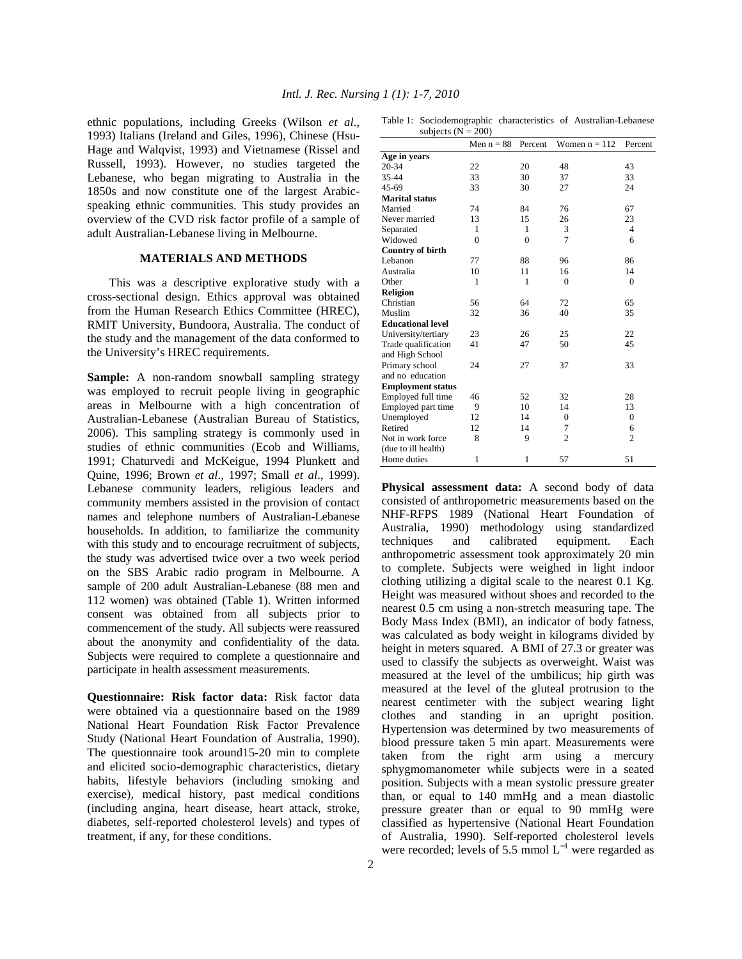ethnic populations, including Greeks (Wilson *et al*., 1993) Italians (Ireland and Giles, 1996), Chinese (Hsu-Hage and Walqvist, 1993) and Vietnamese (Rissel and Russell, 1993). However, no studies targeted the Lebanese, who began migrating to Australia in the 1850s and now constitute one of the largest Arabicspeaking ethnic communities. This study provides an overview of the CVD risk factor profile of a sample of adult Australian-Lebanese living in Melbourne.

### **MATERIALS AND METHODS**

 This was a descriptive explorative study with a cross-sectional design. Ethics approval was obtained from the Human Research Ethics Committee (HREC), RMIT University, Bundoora, Australia. The conduct of the study and the management of the data conformed to the University's HREC requirements.

**Sample:** A non-random snowball sampling strategy was employed to recruit people living in geographic areas in Melbourne with a high concentration of Australian-Lebanese (Australian Bureau of Statistics, 2006). This sampling strategy is commonly used in studies of ethnic communities (Ecob and Williams, 1991; Chaturvedi and McKeigue, 1994 Plunkett and Quine, 1996; Brown *et al*., 1997; Small *et al*., 1999). Lebanese community leaders, religious leaders and community members assisted in the provision of contact names and telephone numbers of Australian-Lebanese households. In addition, to familiarize the community with this study and to encourage recruitment of subjects, the study was advertised twice over a two week period on the SBS Arabic radio program in Melbourne. A sample of 200 adult Australian-Lebanese (88 men and 112 women) was obtained (Table 1). Written informed consent was obtained from all subjects prior to commencement of the study. All subjects were reassured about the anonymity and confidentiality of the data. Subjects were required to complete a questionnaire and participate in health assessment measurements.

**Questionnaire: Risk factor data:** Risk factor data were obtained via a questionnaire based on the 1989 National Heart Foundation Risk Factor Prevalence Study (National Heart Foundation of Australia, 1990). The questionnaire took around15-20 min to complete and elicited socio-demographic characteristics, dietary habits, lifestyle behaviors (including smoking and exercise), medical history, past medical conditions (including angina, heart disease, heart attack, stroke, diabetes, self-reported cholesterol levels) and types of treatment, if any, for these conditions.

| subjects ( $N = 200$ )   |                |              |                 |                |  |  |  |  |  |
|--------------------------|----------------|--------------|-----------------|----------------|--|--|--|--|--|
|                          | Men $n = 88$   | Percent      | Women $n = 112$ | Percent        |  |  |  |  |  |
| Age in years             |                |              |                 |                |  |  |  |  |  |
| 20-34                    | 22             | 20           | 48              | 43             |  |  |  |  |  |
| 35-44                    | 33             | 30           | 37              | 33             |  |  |  |  |  |
| 45-69                    | 33             | 30           | 27              | 24             |  |  |  |  |  |
| <b>Marital status</b>    |                |              |                 |                |  |  |  |  |  |
| Married                  | 74             | 84           | 76              | 67             |  |  |  |  |  |
| Never married            | 13             | 15           | 26              | 23             |  |  |  |  |  |
| Separated                | 1              | 1            | 3               | $\overline{4}$ |  |  |  |  |  |
| Widowed                  | $\overline{0}$ | $\theta$     | 7               | 6              |  |  |  |  |  |
| Country of birth         |                |              |                 |                |  |  |  |  |  |
| Lebanon                  | 77             | 88           | 96              | 86             |  |  |  |  |  |
| Australia                | 10             | 11           | 16              | 14             |  |  |  |  |  |
| Other                    | 1              | 1            | $\theta$        | $\mathbf{0}$   |  |  |  |  |  |
| <b>Religion</b>          |                |              |                 |                |  |  |  |  |  |
| Christian                | 56             | 64           | 72              | 65             |  |  |  |  |  |
| Muslim                   | 32             | 36           | 40              | 35             |  |  |  |  |  |
| <b>Educational level</b> |                |              |                 |                |  |  |  |  |  |
| University/tertiary      | 23             | 26           | 25              | 22             |  |  |  |  |  |
| Trade qualification      | 41             | 47           | 50              | 45             |  |  |  |  |  |
| and High School          |                |              |                 |                |  |  |  |  |  |
| Primary school           | 24             | 27           | 37              | 33             |  |  |  |  |  |
| and no education         |                |              |                 |                |  |  |  |  |  |
| <b>Employment status</b> |                |              |                 |                |  |  |  |  |  |
| Employed full time       | 46             | 52           | 32              | 28             |  |  |  |  |  |
| Employed part time       | 9              | 10           | 14              | 13             |  |  |  |  |  |
| Unemployed               | 12             | 14           | $\mathbf{0}$    | $\Omega$       |  |  |  |  |  |
| Retired                  | 12             | 14           | 7               | 6              |  |  |  |  |  |
| Not in work force        | 8              | 9            | $\overline{2}$  | $\overline{2}$ |  |  |  |  |  |
| (due to ill health)      |                |              |                 |                |  |  |  |  |  |
| Home duties              | 1              | $\mathbf{1}$ | 57              | 51             |  |  |  |  |  |

**Physical assessment data:** A second body of data consisted of anthropometric measurements based on the NHF-RFPS 1989 (National Heart Foundation of Australia, 1990) methodology using standardized techniques and calibrated equipment. Each anthropometric assessment took approximately 20 min to complete. Subjects were weighed in light indoor clothing utilizing a digital scale to the nearest 0.1 Kg. Height was measured without shoes and recorded to the nearest 0.5 cm using a non-stretch measuring tape. The Body Mass Index (BMI), an indicator of body fatness, was calculated as body weight in kilograms divided by height in meters squared. A BMI of 27.3 or greater was used to classify the subjects as overweight. Waist was measured at the level of the umbilicus; hip girth was measured at the level of the gluteal protrusion to the nearest centimeter with the subject wearing light clothes and standing in an upright position. Hypertension was determined by two measurements of blood pressure taken 5 min apart. Measurements were taken from the right arm using a mercury sphygmomanometer while subjects were in a seated position. Subjects with a mean systolic pressure greater than, or equal to 140 mmHg and a mean diastolic pressure greater than or equal to 90 mmHg were classified as hypertensive (National Heart Foundation of Australia, 1990). Self-reported cholesterol levels were recorded; levels of 5.5 mmol  $L^{-1}$  were regarded as

Table 1: Sociodemographic characteristics of Australian-Lebanese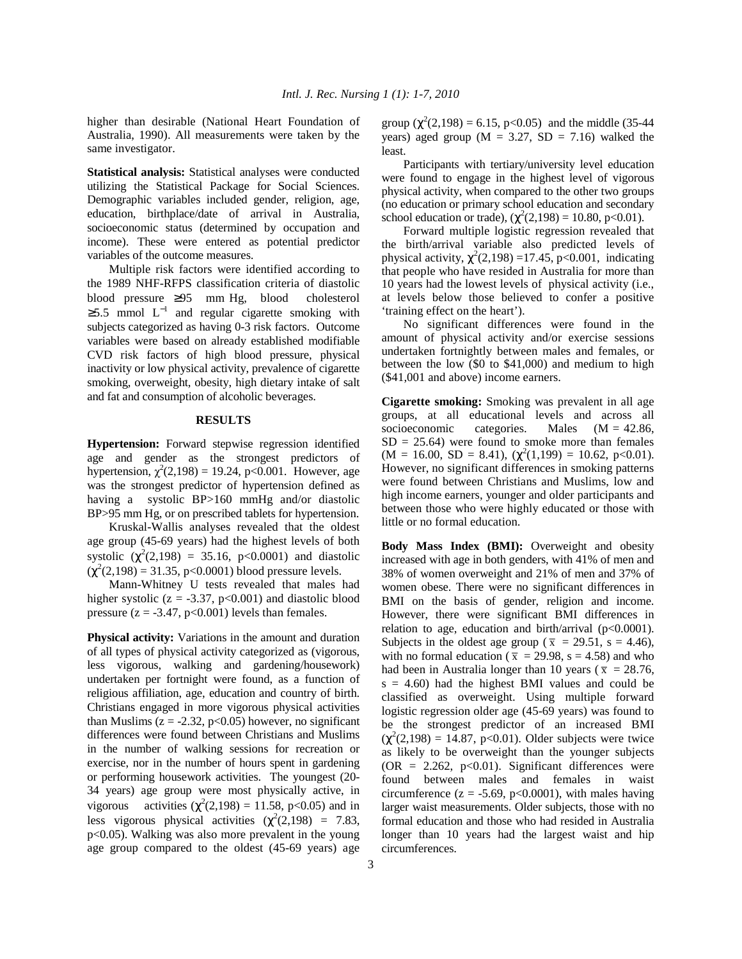higher than desirable (National Heart Foundation of Australia, 1990). All measurements were taken by the same investigator.

**Statistical analysis:** Statistical analyses were conducted utilizing the Statistical Package for Social Sciences. Demographic variables included gender, religion, age, education, birthplace/date of arrival in Australia, socioeconomic status (determined by occupation and income). These were entered as potential predictor variables of the outcome measures.

 Multiple risk factors were identified according to the 1989 NHF-RFPS classification criteria of diastolic blood pressure ≥95 mm Hg, blood cholesterol  $\geq$ 5.5 mmol L<sup>-1</sup> and regular cigarette smoking with subjects categorized as having 0-3 risk factors. Outcome variables were based on already established modifiable CVD risk factors of high blood pressure, physical inactivity or low physical activity, prevalence of cigarette smoking, overweight, obesity, high dietary intake of salt and fat and consumption of alcoholic beverages.

#### **RESULTS**

**Hypertension:** Forward stepwise regression identified age and gender as the strongest predictors of hypertension,  $\chi^2(2,198) = 19.24$ , p<0.001. However, age was the strongest predictor of hypertension defined as having a systolic BP>160 mmHg and/or diastolic BP>95 mm Hg, or on prescribed tablets for hypertension.

 Kruskal-Wallis analyses revealed that the oldest age group (45-69 years) had the highest levels of both systolic  $(\chi^2(2,198) = 35.16, \text{ p} < 0.0001)$  and diastolic  $(\chi^2(2, 198) = 31.35, p<0.0001)$  blood pressure levels.

 Mann-Whitney U tests revealed that males had higher systolic ( $z = -3.37$ ,  $p < 0.001$ ) and diastolic blood pressure  $(z = -3.47, p < 0.001)$  levels than females.

**Physical activity:** Variations in the amount and duration of all types of physical activity categorized as (vigorous, less vigorous, walking and gardening/housework) undertaken per fortnight were found, as a function of religious affiliation, age, education and country of birth. Christians engaged in more vigorous physical activities than Muslims ( $z = -2.32$ ,  $p < 0.05$ ) however, no significant differences were found between Christians and Muslims in the number of walking sessions for recreation or exercise, nor in the number of hours spent in gardening or performing housework activities. The youngest (20- 34 years) age group were most physically active, in vigorous activities  $(\chi^2(2, 198) = 11.58, \text{ p} < 0.05)$  and in less vigorous physical activities  $(\chi^2(2, 198)) = 7.83$ , p<0.05). Walking was also more prevalent in the young age group compared to the oldest (45-69 years) age

group  $(\chi^2(2, 198) = 6.15, \text{ p} < 0.05)$  and the middle (35-44) years) aged group ( $M = 3.27$ ,  $SD = 7.16$ ) walked the least.

 Participants with tertiary/university level education were found to engage in the highest level of vigorous physical activity, when compared to the other two groups (no education or primary school education and secondary school education or trade),  $(\chi^2(2, 198) = 10.80, \text{ p} < 0.01)$ .

 Forward multiple logistic regression revealed that the birth/arrival variable also predicted levels of physical activity,  $\chi^2(2,198) = 17.45$ , p<0.001, indicating that people who have resided in Australia for more than 10 years had the lowest levels of physical activity (i.e., at levels below those believed to confer a positive 'training effect on the heart').

 No significant differences were found in the amount of physical activity and/or exercise sessions undertaken fortnightly between males and females, or between the low (\$0 to \$41,000) and medium to high (\$41,001 and above) income earners.

**Cigarette smoking:** Smoking was prevalent in all age groups, at all educational levels and across all socioeconomic categories. Males  $(M = 42.86,$  $SD = 25.64$ ) were found to smoke more than females  $(M = 16.00, SD = 8.41), (\chi^2(1,199) = 10.62, p<0.01).$ However, no significant differences in smoking patterns were found between Christians and Muslims, low and high income earners, younger and older participants and between those who were highly educated or those with little or no formal education.

**Body Mass Index (BMI):** Overweight and obesity increased with age in both genders, with 41% of men and 38% of women overweight and 21% of men and 37% of women obese. There were no significant differences in BMI on the basis of gender, religion and income. However, there were significant BMI differences in relation to age, education and birth/arrival  $(p<0.0001)$ . Subjects in the oldest age group ( $\bar{x}$  = 29.51, s = 4.46), with no formal education ( $\bar{x}$  = 29.98, s = 4.58) and who had been in Australia longer than 10 years ( $\bar{x}$  = 28.76,  $s = 4.60$ ) had the highest BMI values and could be classified as overweight. Using multiple forward logistic regression older age (45-69 years) was found to be the strongest predictor of an increased BMI  $(\chi^2(2,198) = 14.87, p<0.01)$ . Older subjects were twice as likely to be overweight than the younger subjects  $(OR = 2.262, p<0.01)$ . Significant differences were found between males and females in waist circumference ( $z = -5.69$ ,  $p < 0.0001$ ), with males having larger waist measurements. Older subjects, those with no formal education and those who had resided in Australia longer than 10 years had the largest waist and hip circumferences.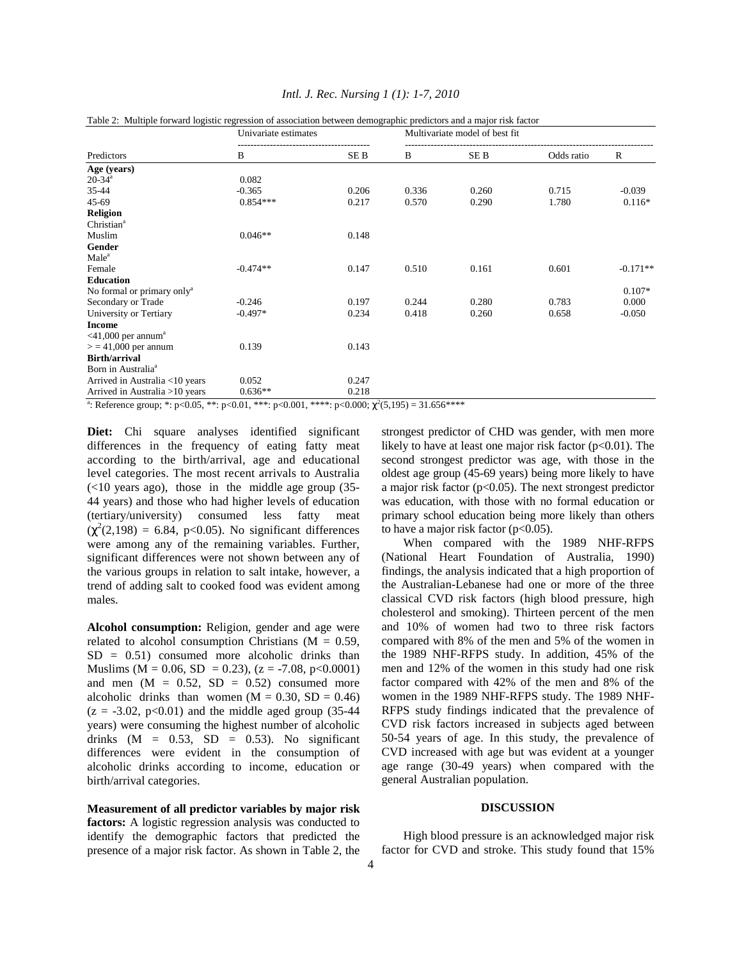| Table 2: Multiple forward logistic regression of association between demographic predictors and a major risk factor |                      |                 |                                |       |            |              |  |  |  |
|---------------------------------------------------------------------------------------------------------------------|----------------------|-----------------|--------------------------------|-------|------------|--------------|--|--|--|
| Predictors                                                                                                          | Univariate estimates |                 | Multivariate model of best fit |       |            |              |  |  |  |
|                                                                                                                     | B                    | SE <sub>B</sub> | B                              | SE B  | Odds ratio | $\mathbb{R}$ |  |  |  |
| Age (years)                                                                                                         |                      |                 |                                |       |            |              |  |  |  |
| $20-34^a$                                                                                                           | 0.082                |                 |                                |       |            |              |  |  |  |
| 35-44                                                                                                               | $-0.365$             | 0.206           | 0.336                          | 0.260 | 0.715      | $-0.039$     |  |  |  |
| 45-69                                                                                                               | $0.854***$           | 0.217           | 0.570                          | 0.290 | 1.780      | $0.116*$     |  |  |  |
| <b>Religion</b>                                                                                                     |                      |                 |                                |       |            |              |  |  |  |
| Christian <sup>a</sup>                                                                                              |                      |                 |                                |       |            |              |  |  |  |
| Muslim                                                                                                              | $0.046**$            | 0.148           |                                |       |            |              |  |  |  |
| Gender                                                                                                              |                      |                 |                                |       |            |              |  |  |  |
| Male <sup>a</sup>                                                                                                   |                      |                 |                                |       |            |              |  |  |  |
| Female                                                                                                              | $-0.474**$           | 0.147           | 0.510                          | 0.161 | 0.601      | $-0.171**$   |  |  |  |
| <b>Education</b>                                                                                                    |                      |                 |                                |       |            |              |  |  |  |
| No formal or primary only <sup>a</sup>                                                                              |                      |                 |                                |       |            | $0.107*$     |  |  |  |
| Secondary or Trade                                                                                                  | $-0.246$             | 0.197           | 0.244                          | 0.280 | 0.783      | 0.000        |  |  |  |
| University or Tertiary                                                                                              | $-0.497*$            | 0.234           | 0.418                          | 0.260 | 0.658      | $-0.050$     |  |  |  |
| <b>Income</b>                                                                                                       |                      |                 |                                |       |            |              |  |  |  |
| $\leq$ 41,000 per annum <sup>a</sup>                                                                                |                      |                 |                                |       |            |              |  |  |  |
| $>$ = 41,000 per annum                                                                                              | 0.139                | 0.143           |                                |       |            |              |  |  |  |
| <b>Birth/arrival</b>                                                                                                |                      |                 |                                |       |            |              |  |  |  |
| Born in Australia <sup>a</sup>                                                                                      |                      |                 |                                |       |            |              |  |  |  |
| Arrived in Australia <10 years                                                                                      | 0.052                | 0.247           |                                |       |            |              |  |  |  |
| Arrived in Australia >10 years                                                                                      | $0.636**$            | 0.218           |                                |       |            |              |  |  |  |

## *Intl. J. Rec. Nursing 1 (1): 1-7, 2010*

<sup>a</sup>: Reference group; \*: p<0.05, \*\*: p<0.01, \*\*\*: p<0.001, \*\*\*\*: p<0.000;  $\chi^2(5,195) = 31.656$ \*\*\*\*

Diet: Chi square analyses identified significant differences in the frequency of eating fatty meat according to the birth/arrival, age and educational level categories. The most recent arrivals to Australia  $(<10$  years ago), those in the middle age group  $(35-$ 44 years) and those who had higher levels of education (tertiary/university) consumed less fatty meat  $(\chi^2(2, 198) = 6.84, \text{ p} < 0.05)$ . No significant differences were among any of the remaining variables. Further, significant differences were not shown between any of the various groups in relation to salt intake, however, a trend of adding salt to cooked food was evident among males.

**Alcohol consumption:** Religion, gender and age were related to alcohol consumption Christians ( $M = 0.59$ ,  $SD = 0.51$ ) consumed more alcoholic drinks than Muslims ( $M = 0.06$ ,  $SD = 0.23$ ), ( $z = -7.08$ ,  $p < 0.0001$ ) and men  $(M = 0.52, SD = 0.52)$  consumed more alcoholic drinks than women  $(M = 0.30, SD = 0.46)$  $(z = -3.02, p < 0.01)$  and the middle aged group (35-44) years) were consuming the highest number of alcoholic drinks  $(M = 0.53, SD = 0.53)$ . No significant differences were evident in the consumption of alcoholic drinks according to income, education or birth/arrival categories.

**Measurement of all predictor variables by major risk factors:** A logistic regression analysis was conducted to identify the demographic factors that predicted the presence of a major risk factor. As shown in Table 2, the strongest predictor of CHD was gender, with men more likely to have at least one major risk factor  $(p<0.01)$ . The second strongest predictor was age, with those in the oldest age group (45-69 years) being more likely to have a major risk factor ( $p<0.05$ ). The next strongest predictor was education, with those with no formal education or primary school education being more likely than others to have a major risk factor  $(p<0.05)$ .

 When compared with the 1989 NHF-RFPS (National Heart Foundation of Australia, 1990) findings, the analysis indicated that a high proportion of the Australian-Lebanese had one or more of the three classical CVD risk factors (high blood pressure, high cholesterol and smoking). Thirteen percent of the men and 10% of women had two to three risk factors compared with 8% of the men and 5% of the women in the 1989 NHF-RFPS study. In addition, 45% of the men and 12% of the women in this study had one risk factor compared with 42% of the men and 8% of the women in the 1989 NHF-RFPS study. The 1989 NHF-RFPS study findings indicated that the prevalence of CVD risk factors increased in subjects aged between 50-54 years of age. In this study, the prevalence of CVD increased with age but was evident at a younger age range (30-49 years) when compared with the general Australian population.

### **DISCUSSION**

 High blood pressure is an acknowledged major risk factor for CVD and stroke. This study found that 15%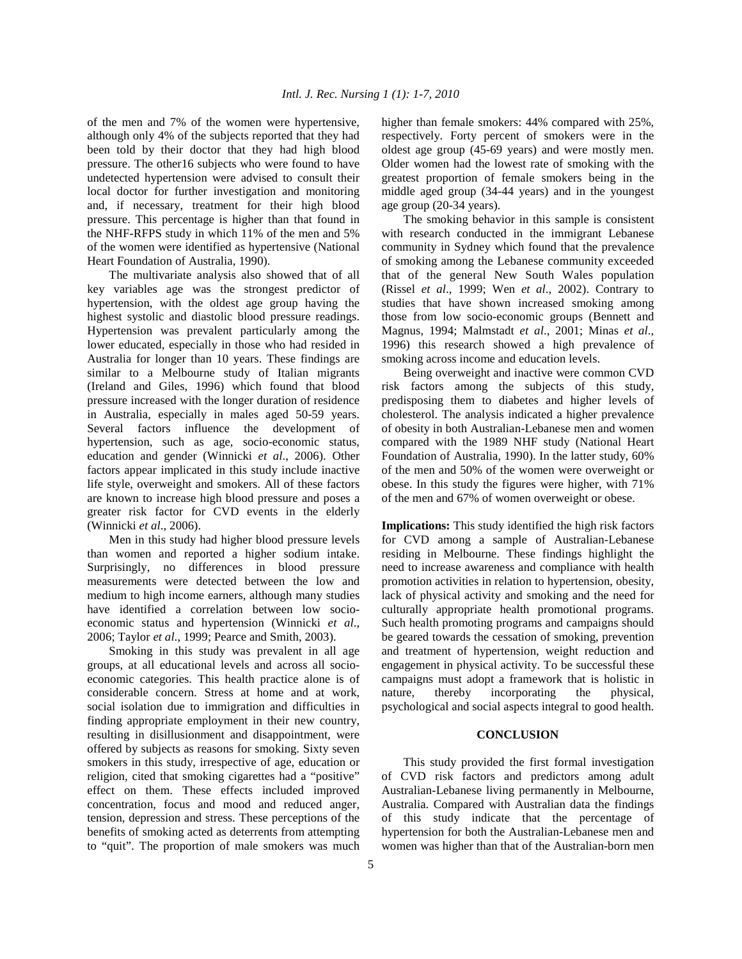of the men and 7% of the women were hypertensive, although only 4% of the subjects reported that they had been told by their doctor that they had high blood pressure. The other16 subjects who were found to have undetected hypertension were advised to consult their local doctor for further investigation and monitoring and, if necessary, treatment for their high blood pressure. This percentage is higher than that found in the NHF-RFPS study in which 11% of the men and 5% of the women were identified as hypertensive (National Heart Foundation of Australia, 1990).

 The multivariate analysis also showed that of all key variables age was the strongest predictor of hypertension, with the oldest age group having the highest systolic and diastolic blood pressure readings. Hypertension was prevalent particularly among the lower educated, especially in those who had resided in Australia for longer than 10 years. These findings are similar to a Melbourne study of Italian migrants (Ireland and Giles, 1996) which found that blood pressure increased with the longer duration of residence in Australia, especially in males aged 50-59 years. Several factors influence the development of hypertension, such as age, socio-economic status, education and gender (Winnicki *et al*., 2006). Other factors appear implicated in this study include inactive life style, overweight and smokers. All of these factors are known to increase high blood pressure and poses a greater risk factor for CVD events in the elderly (Winnicki *et al*., 2006).

 Men in this study had higher blood pressure levels than women and reported a higher sodium intake. Surprisingly, no differences in blood pressure measurements were detected between the low and medium to high income earners, although many studies have identified a correlation between low socioeconomic status and hypertension (Winnicki *et al*., 2006; Taylor *et al*., 1999; Pearce and Smith, 2003).

 Smoking in this study was prevalent in all age groups, at all educational levels and across all socioeconomic categories. This health practice alone is of considerable concern. Stress at home and at work, social isolation due to immigration and difficulties in finding appropriate employment in their new country, resulting in disillusionment and disappointment, were offered by subjects as reasons for smoking. Sixty seven smokers in this study, irrespective of age, education or religion, cited that smoking cigarettes had a "positive" effect on them. These effects included improved concentration, focus and mood and reduced anger, tension, depression and stress. These perceptions of the benefits of smoking acted as deterrents from attempting to "quit". The proportion of male smokers was much higher than female smokers: 44% compared with 25%, respectively. Forty percent of smokers were in the oldest age group (45-69 years) and were mostly men. Older women had the lowest rate of smoking with the greatest proportion of female smokers being in the middle aged group (34-44 years) and in the youngest age group (20-34 years).

 The smoking behavior in this sample is consistent with research conducted in the immigrant Lebanese community in Sydney which found that the prevalence of smoking among the Lebanese community exceeded that of the general New South Wales population (Rissel *et al*., 1999; Wen *et al*., 2002). Contrary to studies that have shown increased smoking among those from low socio-economic groups (Bennett and Magnus, 1994; Malmstadt *et al*., 2001; Minas *et al*., 1996) this research showed a high prevalence of smoking across income and education levels.

 Being overweight and inactive were common CVD risk factors among the subjects of this study, predisposing them to diabetes and higher levels of cholesterol. The analysis indicated a higher prevalence of obesity in both Australian-Lebanese men and women compared with the 1989 NHF study (National Heart Foundation of Australia, 1990). In the latter study, 60% of the men and 50% of the women were overweight or obese. In this study the figures were higher, with 71% of the men and 67% of women overweight or obese.

**Implications:** This study identified the high risk factors for CVD among a sample of Australian-Lebanese residing in Melbourne. These findings highlight the need to increase awareness and compliance with health promotion activities in relation to hypertension, obesity, lack of physical activity and smoking and the need for culturally appropriate health promotional programs. Such health promoting programs and campaigns should be geared towards the cessation of smoking, prevention and treatment of hypertension, weight reduction and engagement in physical activity. To be successful these campaigns must adopt a framework that is holistic in nature, thereby incorporating the physical, psychological and social aspects integral to good health.

#### **CONCLUSION**

 This study provided the first formal investigation of CVD risk factors and predictors among adult Australian-Lebanese living permanently in Melbourne, Australia. Compared with Australian data the findings of this study indicate that the percentage of hypertension for both the Australian-Lebanese men and women was higher than that of the Australian-born men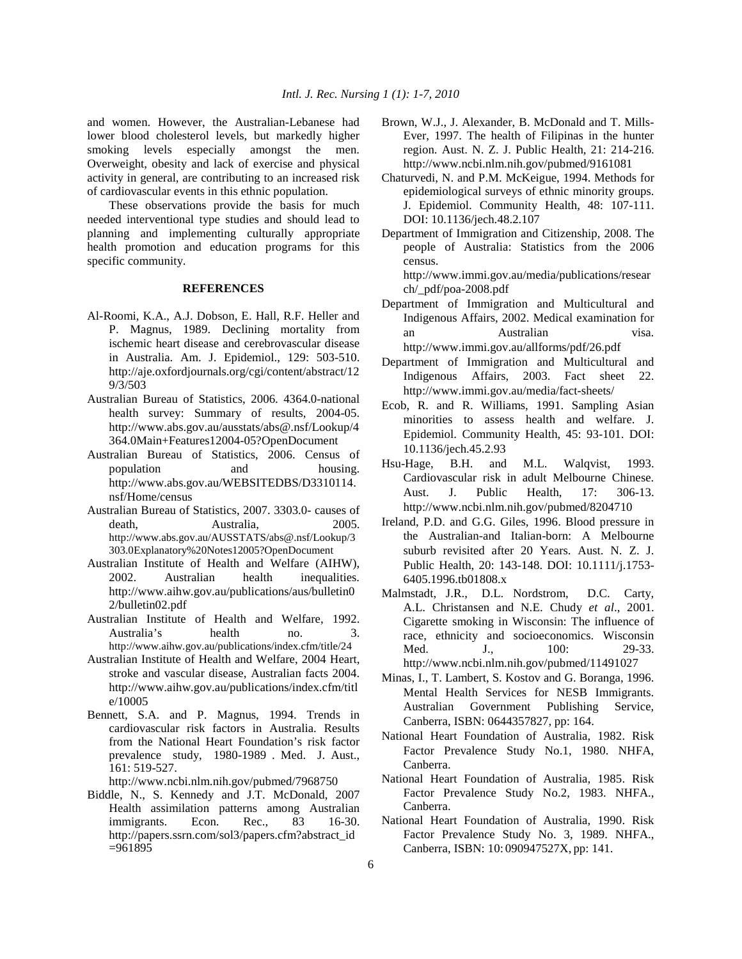and women. However, the Australian-Lebanese had lower blood cholesterol levels, but markedly higher smoking levels especially amongst the men. Overweight, obesity and lack of exercise and physical activity in general, are contributing to an increased risk of cardiovascular events in this ethnic population.

 These observations provide the basis for much needed interventional type studies and should lead to planning and implementing culturally appropriate health promotion and education programs for this specific community.

# **REFERENCES**

- Al-Roomi, K.A., A.J. Dobson, E. Hall, R.F. Heller and P. Magnus, 1989. Declining mortality from ischemic heart disease and cerebrovascular disease in Australia. Am. J. Epidemiol., 129: 503-510. http://aje.oxfordjournals.org/cgi/content/abstract/12 9/3/503
- Australian Bureau of Statistics, 2006. 4364.0-national health survey: Summary of results, 2004-05. http://www.abs.gov.au/ausstats/abs@.nsf/Lookup/4 364.0Main+Features12004-05?OpenDocument
- Australian Bureau of Statistics, 2006. Census of population and housing. http://www.abs.gov.au/WEBSITEDBS/D3310114. nsf/Home/census
- Australian Bureau of Statistics, 2007. 3303.0- causes of death, Australia, 2005. http://www.abs.gov.au/AUSSTATS/abs@.nsf/Lookup/3 303.0Explanatory%20Notes12005?OpenDocument
- Australian Institute of Health and Welfare (AIHW), 2002. Australian health inequalities. http://www.aihw.gov.au/publications/aus/bulletin0 2/bulletin02.pdf
- Australian Institute of Health and Welfare, 1992. Australia's health no. 3. http://www.aihw.gov.au/publications/index.cfm/title/24
- Australian Institute of Health and Welfare, 2004 Heart, stroke and vascular disease, Australian facts 2004. http://www.aihw.gov.au/publications/index.cfm/titl e/10005
- Bennett, S.A. and P. Magnus, 1994. Trends in cardiovascular risk factors in Australia. Results from the National Heart Foundation's risk factor prevalence study, 1980-1989 . Med. J. Aust., 161: 519-527.

http://www.ncbi.nlm.nih.gov/pubmed/7968750

Biddle, N., S. Kennedy and J.T. McDonald, 2007 Health assimilation patterns among Australian immigrants. Econ. Rec., 83 16-30. http://papers.ssrn.com/sol3/papers.cfm?abstract\_id =961895

- Brown, W.J., J. Alexander, B. McDonald and T. Mills-Ever, 1997. The health of Filipinas in the hunter region. Aust. N. Z. J. Public Health, 21: 214-216. http://www.ncbi.nlm.nih.gov/pubmed/9161081
- Chaturvedi, N. and P.M. McKeigue, 1994. Methods for epidemiological surveys of ethnic minority groups. J. Epidemiol. Community Health, 48: 107-111. DOI: 10.1136/jech.48.2.107
- Department of Immigration and Citizenship, 2008. The people of Australia: Statistics from the 2006 census.

http://www.immi.gov.au/media/publications/resear ch/\_pdf/poa-2008.pdf

- Department of Immigration and Multicultural and Indigenous Affairs, 2002. Medical examination for an Australian visa. http://www.immi.gov.au/allforms/pdf/26.pdf
- Department of Immigration and Multicultural and Indigenous Affairs, 2003. Fact sheet 22. http://www.immi.gov.au/media/fact-sheets/
- Ecob, R. and R. Williams, 1991. Sampling Asian minorities to assess health and welfare. J. Epidemiol. Community Health, 45: 93-101. DOI: 10.1136/jech.45.2.93
- Hsu-Hage, B.H. and M.L. Walqvist, 1993. Cardiovascular risk in adult Melbourne Chinese. Aust. J. Public Health, 17: 306-13. http://www.ncbi.nlm.nih.gov/pubmed/8204710
- Ireland, P.D. and G.G. Giles, 1996. Blood pressure in the Australian-and Italian-born: A Melbourne suburb revisited after 20 Years. Aust. N. Z. J. Public Health, 20: 143-148. DOI: 10.1111/j.1753- 6405.1996.tb01808.x
- Malmstadt, J.R., D.L. Nordstrom, D.C. Carty, A.L. Christansen and N.E. Chudy *et al*., 2001. Cigarette smoking in Wisconsin: The influence of race, ethnicity and socioeconomics. Wisconsin Med. J., 100: 29-33. http://www.ncbi.nlm.nih.gov/pubmed/11491027
- Minas, I., T. Lambert, S. Kostov and G. Boranga, 1996. Mental Health Services for NESB Immigrants. Australian Government Publishing Service, Canberra, ISBN: 0644357827, pp: 164.
- National Heart Foundation of Australia, 1982. Risk Factor Prevalence Study No.1, 1980. NHFA, Canberra.
- National Heart Foundation of Australia, 1985. Risk Factor Prevalence Study No.2, 1983. NHFA., Canberra.
- National Heart Foundation of Australia, 1990. Risk Factor Prevalence Study No. 3, 1989. NHFA., Canberra, ISBN: 10: 090947527X, pp: 141.